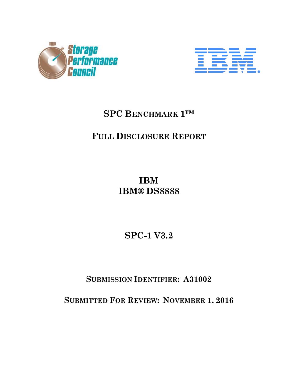



# **SPC BENCHMARK 1™**

# **FULL DISCLOSURE REPORT**

**IBM IBM® DS8888**

**SPC-1 V3.2**

**SUBMISSION IDENTIFIER: A31002**

**SUBMITTED FOR REVIEW: NOVEMBER 1, 2016**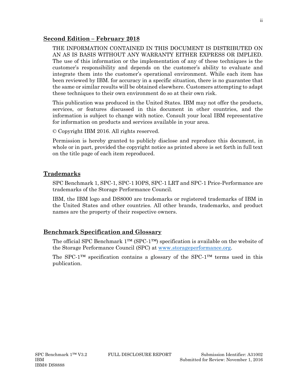#### **Second Edition – February 2018**

THE INFORMATION CONTAINED IN THIS DOCUMENT IS DISTRIBUTED ON AN AS IS BASIS WITHOUT ANY WARRANTY EITHER EXPRESS OR IMPLIED. The use of this information or the implementation of any of these techniques is the customer's responsibility and depends on the customer's ability to evaluate and integrate them into the customer's operational environment. While each item has been reviewed by IBM. for accuracy in a specific situation, there is no guarantee that the same or similar results will be obtained elsewhere. Customers attempting to adapt these techniques to their own environment do so at their own risk.

This publication was produced in the United States. IBM may not offer the products, services, or features discussed in this document in other countries, and the information is subject to change with notice. Consult your local IBM representative for information on products and services available in your area.

© Copyright IBM 2016. All rights reserved.

Permission is hereby granted to publicly disclose and reproduce this document, in whole or in part, provided the copyright notice as printed above is set forth in full text on the title page of each item reproduced.

### **Trademarks**

SPC Benchmark 1, SPC-1, SPC-1 IOPS, SPC-1 LRT and SPC-1 Price-Performance are trademarks of the Storage Performance Council.

IBM, the IBM logo and DS8000 are trademarks or registered trademarks of IBM in the United States and other countries. All other brands, trademarks, and product names are the property of their respective owners.

### **Benchmark Specification and Glossary**

The official SPC Benchmark 1™ (SPC-1™) specification is available on the website of the Storage Performance Council (SPC) at [www.storageperformance.org.](http://www.storageperformance.org/)

The SPC-1<sup>™</sup> specification contains a glossary of the SPC-1<sup>™</sup> terms used in this publication.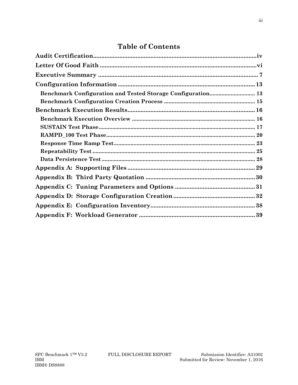# **Table of Contents**

| Benchmark Configuration and Tested Storage Configuration 13 |  |
|-------------------------------------------------------------|--|
|                                                             |  |
|                                                             |  |
|                                                             |  |
|                                                             |  |
|                                                             |  |
|                                                             |  |
|                                                             |  |
|                                                             |  |
|                                                             |  |
|                                                             |  |
|                                                             |  |
|                                                             |  |
|                                                             |  |
|                                                             |  |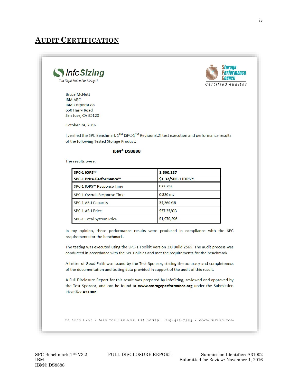## <span id="page-3-0"></span>**AUDIT CERTIFICATION**



**Bruce McNutt IBM ARC IBM Corporation** 650 Harry Road San Jose, CA 95120

*MnfoSizing* 

The Right Metric For Sizing IT

October 24, 2016

I verified the SPC Benchmark 1™ (SPC-1™ Revision3.2) test execution and performance results of the following Tested Storage Product:

#### **IBM®** DS8888

The results were:

| SPC-1 IOPS™                        | 1,500,187          |
|------------------------------------|--------------------|
| SPC-1 Price-Performance™           | \$1.32/SPC-1 IOPS™ |
| SPC-1 IOPS™ Response Time          | $0.60$ ms          |
| <b>SPC-1 Overall Response Time</b> | $0.336$ ms         |
| <b>SPC-1 ASU Capacity</b>          | 34.360 GB          |
| <b>SPC-1 ASU Price</b>             | \$57.35/GB         |
| <b>SPC-1 Total System Price</b>    | \$1,970,396        |

In my opinion, these performance results were produced in compliance with the SPC requirements for the benchmark.

The testing was executed using the SPC-1 Toolkit Version 3.0 Build 2565. The audit process was conducted in accordance with the SPC Policies and met the requirements for the benchmark.

A Letter of Good Faith was issued by the Test Sponsor, stating the accuracy and completeness of the documentation and testing data provided in support of the audit of this result.

A Full Disclosure Report for this result was prepared by InfoSizing, reviewed and approved by the Test Sponsor, and can be found at www.storageperformance.org under the Submission Identifier A31002.

20 KREG LANE . MANITOU SPRINGS, CO 80829 . 719-473-7555 . WWW.SIZING.COM

SPC Benchmark 1™ V3.2 FULL DISCLOSURE REPORT Submission Identifier: A31002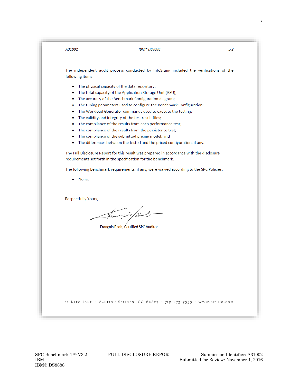| A31002                     | <b>IBM®DS8888</b>                                                                         | p.2 |
|----------------------------|-------------------------------------------------------------------------------------------|-----|
|                            |                                                                                           |     |
|                            |                                                                                           |     |
|                            | The independent audit process conducted by InfoSizing included the verifications of the   |     |
| following items:           |                                                                                           |     |
| ۰                          | The physical capacity of the data repository;                                             |     |
| ۰                          | The total capacity of the Application Storage Unit (ASU);                                 |     |
| ۰                          | The accuracy of the Benchmark Configuration diagram;                                      |     |
| ۰                          | The tuning parameters used to configure the Benchmark Configuration;                      |     |
| ۰                          | The Workload Generator commands used to execute the testing;                              |     |
| ۰                          | The validity and integrity of the test result files;                                      |     |
| ۰                          | The compliance of the results from each performance test;                                 |     |
| ۰                          | The compliance of the results from the persistence test;                                  |     |
| ۰                          | The compliance of the submitted pricing model; and                                        |     |
| ۰                          | The differences between the tested and the priced configuration, if any.                  |     |
|                            | The Full Disclosure Report for this result was prepared in accordance with the disclosure |     |
|                            | requirements set forth in the specification for the benchmark.                            |     |
|                            | The following benchmark requirements, if any, were waived according to the SPC Policies:  |     |
| None.                      |                                                                                           |     |
|                            |                                                                                           |     |
|                            |                                                                                           |     |
| <b>Respectfully Yours,</b> |                                                                                           |     |
|                            |                                                                                           |     |
|                            | transis/ pol-                                                                             |     |
|                            |                                                                                           |     |
|                            | François Raab, Certified SPC Auditor                                                      |     |
|                            |                                                                                           |     |
|                            |                                                                                           |     |
|                            |                                                                                           |     |
|                            |                                                                                           |     |
|                            |                                                                                           |     |
|                            |                                                                                           |     |
|                            |                                                                                           |     |
|                            |                                                                                           |     |
|                            |                                                                                           |     |
|                            |                                                                                           |     |
|                            | 20 KREG LANE . MANITOU SPRINGS, CO 80829 . 719-473-7555 . WWW.SIZING.COM                  |     |
|                            |                                                                                           |     |
|                            |                                                                                           |     |

v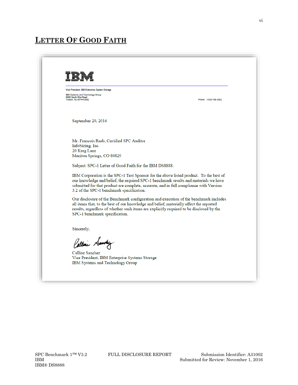# <span id="page-5-0"></span>**LETTER OF GOOD FAITH**

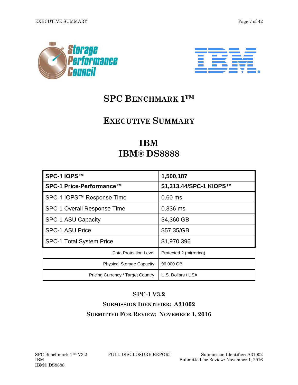<span id="page-6-0"></span>



# **SPC BENCHMARK 1™**

# **EXECUTIVE SUMMARY**

# **IBM IBM® DS8888**

| SPC-1 IOPS™                        | 1,500,187               |
|------------------------------------|-------------------------|
| SPC-1 Price-Performance™           | \$1,313.44/SPC-1 KIOPS™ |
| SPC-1 IOPS™ Response Time          | $0.60$ ms               |
| <b>SPC-1 Overall Response Time</b> | 0.336 ms                |
| SPC-1 ASU Capacity                 | 34,360 GB               |
| <b>SPC-1 ASU Price</b>             | \$57.35/GB              |
| <b>SPC-1 Total System Price</b>    | \$1,970,396             |
| Data Protection Level              | Protected 2 (mirroring) |
| <b>Physical Storage Capacity</b>   | 96,000 GB               |
| Pricing Currency / Target Country  | U.S. Dollars / USA      |

## **SPC-1 V3.2**

# **SUBMISSION IDENTIFIER: A31002 SUBMITTED FOR REVIEW: NOVEMBER 1, 2016**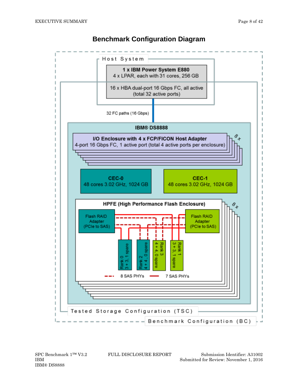

## **Benchmark Configuration Diagram**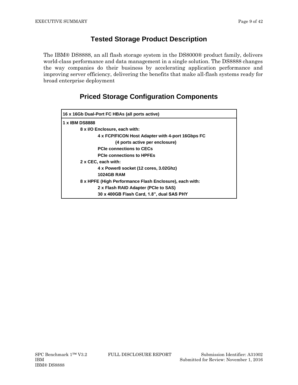## **Tested Storage Product Description**

The IBM® DS8888, an all flash storage system in the DS8000® product family, delivers world-class performance and data management in a single solution. The DS8888 changes the way companies do their business by accelerating application performance and improving server efficiency, delivering the benefits that make all-flash systems ready for broad enterprise deployment

## **Priced Storage Configuration Components**

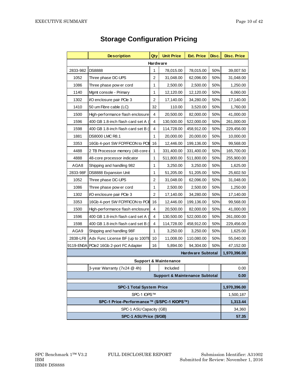|                                                | <b>Description</b>                 | Qty          | <b>Unit Price</b>                         | <b>Ext. Price</b>         | Disc. | <b>Disc. Price</b> |
|------------------------------------------------|------------------------------------|--------------|-------------------------------------------|---------------------------|-------|--------------------|
| Hardware                                       |                                    |              |                                           |                           |       |                    |
| 2833-982                                       | <b>DS8888</b>                      | 1            | 78,015.00                                 | 78,015.00                 | 50%   | 39,007.50          |
| 1052                                           | Three phase DC-UPS                 | 2            | 31,048.00                                 | 62,096.00                 | 50%   | 31,048.00          |
| 1086                                           | Three phase pow er cord            | 1            | 2,500.00                                  | 2,500.00                  | 50%   | 1,250.00           |
| 1140                                           | Mgmt console - Primary             | 1            | 12,120.00                                 | 12,120.00                 | 50%   | 6,060.00           |
| 1302                                           | VO enclosure pair PCle 3           | 2            | 17,140.00                                 | 34,280.00                 | 50%   | 17,140.00          |
| 1410                                           | 50 um Fibre cable (LC)             | 32           | 110.00                                    | 3,520.00                  | 50%   | 1,760.00           |
| 1500                                           | High-performance flash enclosure   | 4            | 20,500.00                                 | 82,000.00                 | 50%   | 41,000.00          |
| 1596                                           | 400 GB 1.8-inch flash card set A   | 4            | 130,500.00                                | 522,000.00                | 50%   | 261,000.00         |
| 1598                                           | 400 GB 1.8-inch flash card set B ( | 4            | 114,728.00                                | 458,912.00                | 50%   | 229,456.00         |
| 1881                                           | <b>DS8000 LMC R8.1</b>             | 1            | 20,000.00                                 | 20,000.00                 | 50%   | 10,000.00          |
| 3353                                           | 16Gb 4-port SW FCP/FICON to PCIE   | 16           | 12,446.00                                 | 199,136.00                | 50%   | 99,568.00          |
| 4488                                           | 2 TB Processor memory (48-core o   | 1            | 331,400.00                                | 331,400.00                | 50%   | 165,700.00         |
| 4888                                           | 48-core processor indicator        | $\mathbf{1}$ | 511,800.00                                | 511,800.00                | 50%   | 255,900.00         |
| AGA8                                           | Shipping and handling 982          | 1            | 3,250.00                                  | 3,250.00                  | 50%   | 1,625.00           |
| 2833-98F                                       | DS8888 Expansion Unit              | 1            | 51,205.00                                 | 51,205.00                 | 50%   | 25,602.50          |
| 1052                                           | Three phase DC-UPS                 | 2            | 31,048.00                                 | 62,096.00                 | 50%   | 31,048.00          |
| 1086                                           | Three phase pow er cord            | 1            | 2,500.00                                  | 2,500.00                  | 50%   | 1,250.00           |
| 1302                                           | VO enclosure pair PCle 3           | 2            | 17,140.00                                 | 34,280.00                 | 50%   | 17,140.00          |
| 3353                                           | 16Gb 4-port SW FCP/FICON to PCIE   | 16           | 12,446.00                                 | 199,136.00                | 50%   | 99,568.00          |
| 1500                                           | High-performance flash enclosure   | 4            | 20,500.00                                 | 82,000.00                 | 50%   | 41,000.00          |
| 1596                                           | 400 GB 1.8-inch flash card set A   | 4            | 130,500.00                                | 522,000.00                | 50%   | 261,000.00         |
| 1598                                           | 400 GB 1.8-inch flash card set B ( | 4            | 114,728.00                                | 458,912.00                | 50%   | 229,456.00         |
| AGA9                                           | Shipping and handling 98F          | 1            | 3,250.00                                  | 3,250.00                  | 50%   | 1,625.00           |
| 2838-LF8                                       | Adv Func License BF (up to 100TE   | 10           | 11,008.00                                 | 110,080.00                | 50%   | 55,040.00          |
| 9119-EN0A                                      | PCle2 16Gb 2-port FC Adapter       | 16           | 5,894.00                                  | 94,304.00                 | 50%   | 47,152.00          |
|                                                |                                    |              |                                           | <b>Hardware Subtotal</b>  |       | 1,970,396.00       |
|                                                |                                    |              | <b>Support &amp; Maintenance</b>          |                           |       |                    |
| 3-year Warranty (7x24 @ 4h)<br>Included        |                                    |              |                                           |                           |       | 0.00               |
|                                                |                                    |              | <b>Support &amp; Maintenance Subtotal</b> |                           |       | 0.00               |
|                                                |                                    |              |                                           |                           |       |                    |
| <b>SPC-1 Total System Price</b><br>SPC-1 IOPS™ |                                    |              |                                           | 1,970,396.00<br>1,500,187 |       |                    |
| SPC-1 Price-Performance™ (\$/SPC-1 KIOPS™)     |                                    |              |                                           | 1,313.44                  |       |                    |
| SPC-1 ASU Capacity (GB)                        |                                    |              |                                           | 34,360                    |       |                    |
| SPC-1 ASU Price (\$/GB)                        |                                    |              |                                           | 57.35                     |       |                    |

# **Storage Configuration Pricing**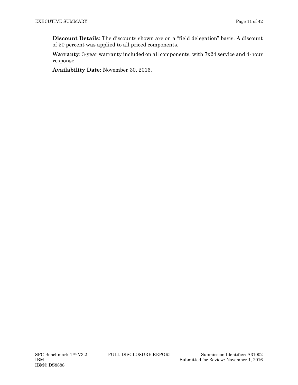**Discount Details**: The discounts shown are on a "field delegation" basis. A discount of 50 percent was applied to all priced components.

**Warranty**: 3-year warranty included on all components, with 7x24 service and 4-hour response.

**Availability Date**: November 30, 2016.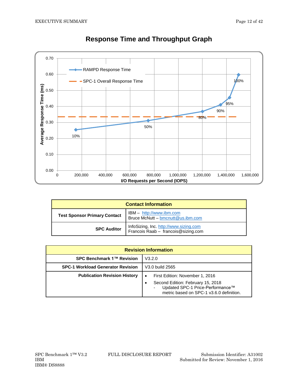

# **Response Time and Throughput Graph**

| <b>Contact Information</b>                                                                           |                                                                               |  |  |
|------------------------------------------------------------------------------------------------------|-------------------------------------------------------------------------------|--|--|
| IBM - http://www.ibm.com<br><b>Test Sponsor Primary Contact</b><br>Bruce McNutt - bmcnutt@us.ibm.com |                                                                               |  |  |
| <b>SPC Auditor</b>                                                                                   | InfoSizing, Inc. http://www.sizing.com<br>Francois Raab - francois@sizing.com |  |  |

| <b>Revision Information</b>              |                                                                                                                                                                        |  |  |  |
|------------------------------------------|------------------------------------------------------------------------------------------------------------------------------------------------------------------------|--|--|--|
| SPC Benchmark 1™ Revision                | V3.2.0                                                                                                                                                                 |  |  |  |
| <b>SPC-1 Workload Generator Revision</b> | V3.0 build 2565                                                                                                                                                        |  |  |  |
| <b>Publication Revision History</b>      | First Edition: November 1, 2016<br>$\bullet$<br>Second Edition: February 15, 2018<br>Updated SPC-1 Price-Performance™<br>٠<br>metric based on SPC-1 v3.6.0 definition. |  |  |  |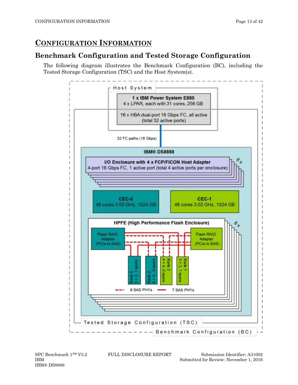# <span id="page-12-0"></span>**CONFIGURATION INFORMATION**

## <span id="page-12-1"></span>**Benchmark Configuration and Tested Storage Configuration**

The following diagram illustrates the Benchmark Configuration (BC), including the Tested Storage Configuration (TSC) and the Host System(s).



IBM® DS8888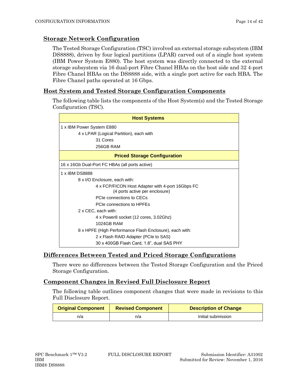#### **Storage Network Configuration**

The Tested Storage Configuration (TSC) involved an external storage subsystem (IBM DS8888), driven by four logical partitions (LPAR) carved out of a single host system (IBM Power System E880). The host system was directly connected to the external storage subsystem via 16 dual-port Fibre Chanel HBAs on the host side and 32 4-port Fibre Chanel HBAs on the DS8888 side, with a single port active for each HBA. The Fibre Chanel paths operated at 16 Gbps.

#### **Host System and Tested Storage Configuration Components**

The following table lists the components of the Host System(s) and the Tested Storage Configuration (TSC).

| <b>Host Systems</b>                                                                |
|------------------------------------------------------------------------------------|
| 1 x IBM Power System E880                                                          |
| 4 x LPAR (Logical Partition), each with                                            |
| 31 Cores                                                                           |
| 256GB RAM                                                                          |
| <b>Priced Storage Configuration</b>                                                |
| 16 x 16Gb Dual-Port FC HBAs (all ports active)                                     |
| 1 x IBM DS8888                                                                     |
| 8 x I/O Enclosure, each with:                                                      |
| 4 x FCP/FICON Host Adapter with 4-port 16Gbps FC<br>(4 ports active per enclosure) |
| PCIe connections to CECs                                                           |
| PCIe connections to HPFFs                                                          |
| 2 x CEC, each with:                                                                |
| 4 x Power8 socket (12 cores, 3.02Ghz)                                              |
| 1024GB RAM                                                                         |
| 8 x HPFE (High Performance Flash Enclosure), each with:                            |
| 2 x Flash RAID Adapter (PCIe to SAS)                                               |
| 30 x 400GB Flash Card, 1.8", dual SAS PHY                                          |

### **Differences Between Tested and Priced Storage Configurations**

There were no differences between the Tested Storage Configuration and the Priced Storage Configuration.

#### **Component Changes in Revised Full Disclosure Report**

The following table outlines component changes that were made in revisions to this Full Disclosure Report.

| <b>Original Component</b> | <b>Revised Component</b> | <b>Description of Change</b> |
|---------------------------|--------------------------|------------------------------|
| n/a                       | n/a                      | Initial submission           |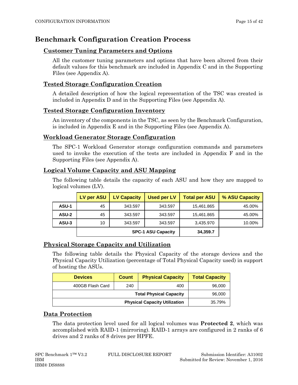## <span id="page-14-0"></span>**Benchmark Configuration Creation Process**

#### **Customer Tuning Parameters and Options**

All the customer tuning parameters and options that have been altered from their default values for this benchmark are included in Appendix C and in the Supporting Files (see Appendix A).

#### **Tested Storage Configuration Creation**

A detailed description of how the logical representation of the TSC was created is included in Appendix D and in the Supporting Files (see Appendix A).

#### **Tested Storage Configuration Inventory**

An inventory of the components in the TSC, as seen by the Benchmark Configuration, is included in Appendix E and in the Supporting Files (see Appendix A).

#### **Workload Generator Storage Configuration**

The SPC-1 Workload Generator storage configuration commands and parameters used to invoke the execution of the tests are included in Appendix F and in the Supporting Files (see Appendix A).

#### **Logical Volume Capacity and ASU Mapping**

The following table details the capacity of each ASU and how they are mapped to logical volumes (LV).

|       | <b>LV per ASU</b> | <b>LV Capacity</b>        | <b>Used per LV</b> | <b>Total per ASU</b> | % ASU Capacity |
|-------|-------------------|---------------------------|--------------------|----------------------|----------------|
| ASU-1 | 45                | 343.597                   | 343.597            | 15,461.865           | 45.00%         |
| ASU-2 | 45                | 343.597                   | 343.597            | 15,461.865           | 45.00%         |
| ASU-3 | 10                | 343.597                   | 343.597            | 3,435.970            | 10.00%         |
|       |                   | <b>SPC-1 ASU Capacity</b> |                    |                      |                |

#### **Physical Storage Capacity and Utilization**

The following table details the Physical Capacity of the storage devices and the Physical Capacity Utilization (percentage of Total Physical Capacity used) in support of hosting the ASUs.

| <b>Devices</b>                       | <b>Count</b> | <b>Physical Capacity</b>       | <b>Total Capacity</b> |
|--------------------------------------|--------------|--------------------------------|-----------------------|
| 400GB Flash Card                     | 240          | 400                            | 96,000                |
|                                      |              | <b>Total Physical Capacity</b> | 96,000                |
| <b>Physical Capacity Utilization</b> |              |                                | 35.79%                |

#### **Data Protection**

The data protection level used for all logical volumes was **Protected 2**, which was accomplished with RAID-1 (mirroring). RAID-1 arrays are configured in 2 ranks of 6 drives and 2 ranks of 8 drives per HPFE.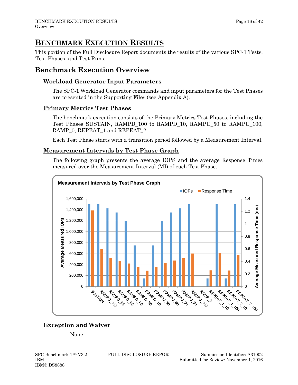# <span id="page-15-0"></span>**BENCHMARK EXECUTION RESULTS**

This portion of the Full Disclosure Report documents the results of the various SPC-1 Tests, Test Phases, and Test Runs.

## <span id="page-15-1"></span>**Benchmark Execution Overview**

### **Workload Generator Input Parameters**

The SPC-1 Workload Generator commands and input parameters for the Test Phases are presented in the Supporting Files (see Appendix A).

### **Primary Metrics Test Phases**

The benchmark execution consists of the Primary Metrics Test Phases, including the Test Phases SUSTAIN, RAMPD\_100 to RAMPD\_10, RAMPU\_50 to RAMPU\_100, RAMP\_0, REPEAT\_1 and REPEAT\_2.

Each Test Phase starts with a transition period followed by a Measurement Interval.

#### **Measurement Intervals by Test Phase Graph**

The following graph presents the average IOPS and the average Response Times measured over the Measurement Interval (MI) of each Test Phase.



## **Exception and Waiver**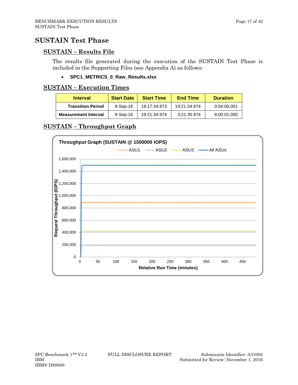## <span id="page-16-0"></span>**SUSTAIN Test Phase**

#### **SUSTAIN – Results File**

The results file generated during the execution of the SUSTAIN Test Phase is included in the Supporting Files (see Appendix A) as follows:

#### • **SPC1\_METRICS\_0\_Raw\_Results.xlsx**

#### **SUSTAIN – Execution Times**

| <b>Interval</b>             | <b>Start Date</b> | <b>Start Time</b> | <b>End Time</b> | <b>Duration</b> |
|-----------------------------|-------------------|-------------------|-----------------|-----------------|
| <b>Transition Period</b>    | $9-Sep-16$        | 19:17:34.973      | 19:21:34.974    | 0:04:00.001     |
| <b>Measurement Interval</b> | $9-Sep-16$        | 19:21:34.974      | 3:21:35.974     | 8:00:01.000     |

## **SUSTAIN – Throughput Graph**

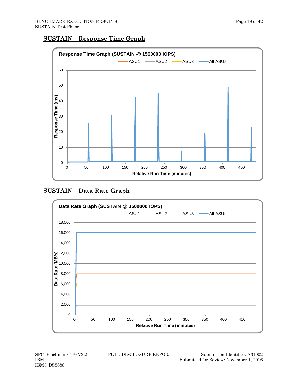#### **SUSTAIN – Response Time Graph**



## **SUSTAIN – Data Rate Graph**



IBM® DS8888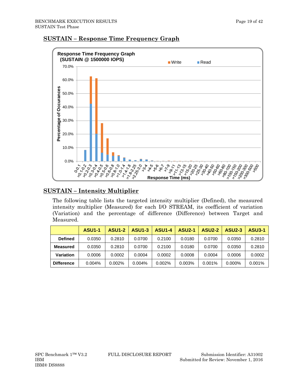

#### **SUSTAIN – Response Time Frequency Graph**

#### **SUSTAIN – Intensity Multiplier**

The following table lists the targeted intensity multiplier (Defined), the measured intensity multiplier (Measured) for each I/O STREAM, its coefficient of variation (Variation) and the percentage of difference (Difference) between Target and Measured.

|                   | <b>ASU1-1</b> | <b>ASU1-2</b> | <b>ASU1-3</b> | <b>ASU1-4</b> | <b>ASU2-1</b> | <b>ASU2-2</b> | <b>ASU2-3</b> | <b>ASU3-1</b> |
|-------------------|---------------|---------------|---------------|---------------|---------------|---------------|---------------|---------------|
| <b>Defined</b>    | 0.0350        | 0.2810        | 0.0700        | 0.2100        | 0.0180        | 0.0700        | 0.0350        | 0.2810        |
| Measured          | 0.0350        | 0.2810        | 0.0700        | 0.2100        | 0.0180        | 0.0700        | 0.0350        | 0.2810        |
| <b>Variation</b>  | 0.0006        | 0.0002        | 0.0004        | 0.0002        | 0.0008        | 0.0004        | 0.0006        | 0.0002        |
| <b>Difference</b> | 0.004%        | 0.002%        | 0.004%        | 0.002%        | 0.003%        | 0.001%        | $0.000\%$     | 0.001%        |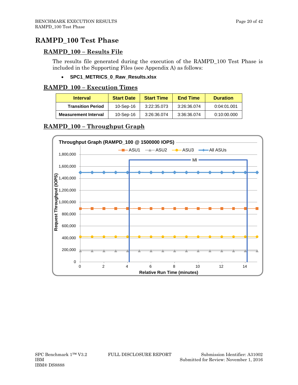## <span id="page-19-0"></span>**RAMPD\_100 Test Phase**

#### **RAMPD\_100 – Results File**

The results file generated during the execution of the RAMPD\_100 Test Phase is included in the Supporting Files (see Appendix A) as follows:

#### • **SPC1\_METRICS\_0\_Raw\_Results.xlsx**

#### **RAMPD\_100 – Execution Times**

| <b>Interval</b>             | <b>Start Date</b> | <b>Start Time</b> | <b>End Time</b> | <b>Duration</b> |
|-----------------------------|-------------------|-------------------|-----------------|-----------------|
| <b>Transition Period</b>    | 10-Sep-16         | 3:22:35.073       | 3:26:36.074     | 0:04:01.001     |
| <b>Measurement Interval</b> | 10-Sep-16         | 3:26:36.074       | 3:36:36.074     | 0:10:00.000     |

## **RAMPD\_100 – Throughput Graph**

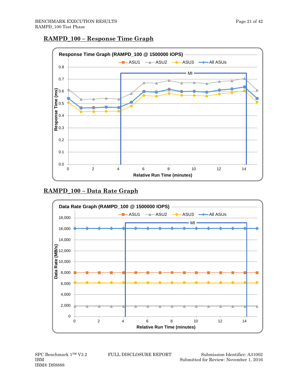



### **RAMPD\_100 – Data Rate Graph**



IBM® DS8888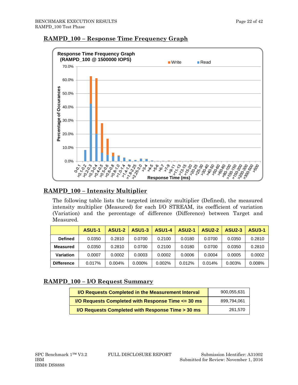

## **RAMPD\_100 – Response Time Frequency Graph**

## **RAMPD\_100 – Intensity Multiplier**

The following table lists the targeted intensity multiplier (Defined), the measured intensity multiplier (Measured) for each I/O STREAM, its coefficient of variation (Variation) and the percentage of difference (Difference) between Target and Measured.

|                   | <b>ASU1-1</b> | <b>ASU1-2</b> | <b>ASU1-3</b> | <b>ASU1-4</b> | <b>ASU2-1</b> | <b>ASU2-2</b> | <b>ASU2-3</b> | <b>ASU3-1</b> |
|-------------------|---------------|---------------|---------------|---------------|---------------|---------------|---------------|---------------|
| <b>Defined</b>    | 0.0350        | 0.2810        | 0.0700        | 0.2100        | 0.0180        | 0.0700        | 0.0350        | 0.2810        |
| <b>Measured</b>   | 0.0350        | 0.2810        | 0.0700        | 0.2100        | 0.0180        | 0.0700        | 0.0350        | 0.2810        |
| Variation         | 0.0007        | 0.0002        | 0.0003        | 0.0002        | 0.0006        | 0.0004        | 0.0005        | 0.0002        |
| <b>Difference</b> | 0.017%        | $0.004\%$     | 0.000%        | 0.002%        | 0.012%        | 0.014%        | 0.003%        | 0.008%        |

### **RAMPD\_100 – I/O Request Summary**

| I/O Requests Completed in the Measurement Interval           | 900.055.631 |
|--------------------------------------------------------------|-------------|
| <b>I/O Requests Completed with Response Time &lt;= 30 ms</b> | 899.794.061 |
| I/O Requests Completed with Response Time > 30 ms            | 261.570     |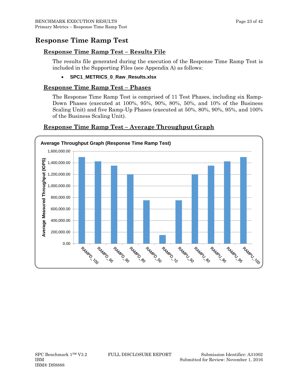## <span id="page-22-0"></span>**Response Time Ramp Test**

#### **Response Time Ramp Test – Results File**

The results file generated during the execution of the Response Time Ramp Test is included in the Supporting Files (see Appendix A) as follows:

• **SPC1\_METRICS\_0\_Raw\_Results.xlsx**

#### **Response Time Ramp Test – Phases**

The Response Time Ramp Test is comprised of 11 Test Phases, including six Ramp-Down Phases (executed at 100%, 95%, 90%, 80%, 50%, and 10% of the Business Scaling Unit) and five Ramp-Up Phases (executed at 50%, 80%, 90%, 95%, and 100% of the Business Scaling Unit).



#### **Response Time Ramp Test – Average Throughput Graph**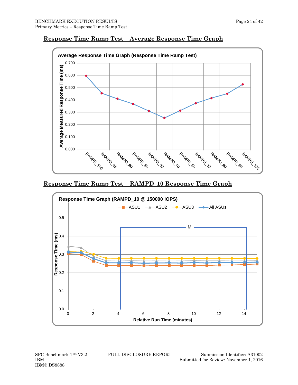

#### **Response Time Ramp Test – Average Response Time Graph**

#### **Response Time Ramp Test – RAMPD\_10 Response Time Graph**



IBM® DS8888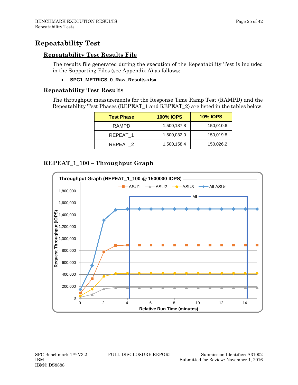## <span id="page-24-0"></span>**Repeatability Test**

#### **Repeatability Test Results File**

The results file generated during the execution of the Repeatability Test is included in the Supporting Files (see Appendix A) as follows:

#### • **SPC1\_METRICS\_0\_Raw\_Results.xlsx**

#### **Repeatability Test Results**

The throughput measurements for the Response Time Ramp Test (RAMPD) and the Repeatability Test Phases (REPEAT\_1 and REPEAT\_2) are listed in the tables below.

| <b>Test Phase</b> | <b>100% IOPS</b> | <b>10% IOPS</b> |
|-------------------|------------------|-----------------|
| RAMPD             | 1,500,187.8      | 150,010.6       |
| REPEAT 1          | 1,500,032.0      | 150,019.8       |
| REPEAT 2          | 1,500,158.4      | 150,026.2       |

## **REPEAT\_1\_100 – Throughput Graph**

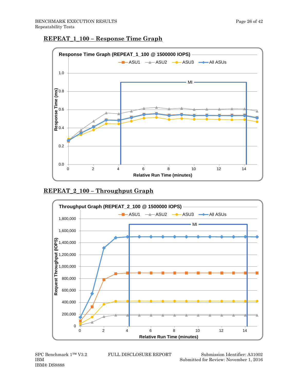



#### **REPEAT\_2\_100 – Throughput Graph**



IBM® DS8888

SPC Benchmark 1™ V3.2 FULL DISCLOSURE REPORT Submission Identifier: A31002 IBM Submitted for Review: November 1, 2016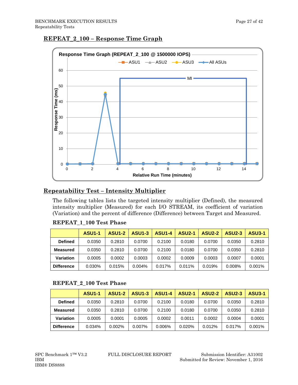



## **Repeatability Test – Intensity Multiplier**

The following tables lists the targeted intensity multiplier (Defined), the measured intensity multiplier (Measured) for each I/O STREAM, its coefficient of variation (Variation) and the percent of difference (Difference) between Target and Measured.

|                   | <b>ASU1-1</b> | <b>ASU1-2</b> | <b>ASU1-3</b> | <b>ASU1-4</b> | <b>ASU2-1</b> | <b>ASU2-2</b> | <b>ASU2-3</b> | <b>ASU3-1</b> |
|-------------------|---------------|---------------|---------------|---------------|---------------|---------------|---------------|---------------|
| <b>Defined</b>    | 0.0350        | 0.2810        | 0.0700        | 0.2100        | 0.0180        | 0.0700        | 0.0350        | 0.2810        |
| <b>Measured</b>   | 0.0350        | 0.2810        | 0.0700        | 0.2100        | 0.0180        | 0.0700        | 0.0350        | 0.2810        |
| Variation         | 0.0005        | 0.0002        | 0.0003        | 0.0002        | 0.0009        | 0.0003        | 0.0007        | 0.0001        |
| <b>Difference</b> | $0.030\%$     | 0.015%        | $0.004\%$     | 0.017%        | 0.011%        | 0.019%        | 0.008%        | 0.001%        |

#### **REPEAT\_1\_100 Test Phase**

#### **REPEAT\_2\_100 Test Phase**

|                   | <b>ASU1-1</b> | <b>ASU1-2</b> | <b>ASU1-3</b> | <b>ASU1-4</b> | <b>ASU2-1</b> | <b>ASU2-2</b> | <b>ASU2-3</b> | <b>ASU3-1</b> |
|-------------------|---------------|---------------|---------------|---------------|---------------|---------------|---------------|---------------|
| <b>Defined</b>    | 0.0350        | 0.2810        | 0.0700        | 0.2100        | 0.0180        | 0.0700        | 0.0350        | 0.2810        |
| <b>Measured</b>   | 0.0350        | 0.2810        | 0.0700        | 0.2100        | 0.0180        | 0.0700        | 0.0350        | 0.2810        |
| <b>Variation</b>  | 0.0005        | 0.0001        | 0.0005        | 0.0002        | 0.0011        | 0.0002        | 0.0004        | 0.0001        |
| <b>Difference</b> | 0.034%        | 0.002%        | $0.007\%$     | 0.006%        | 0.020%        | 0.012%        | 0.017%        | $0.001\%$     |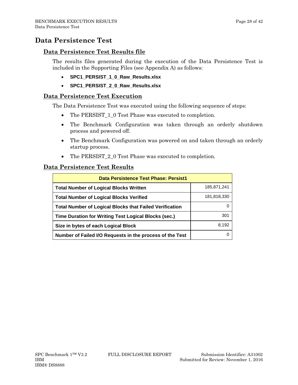## <span id="page-27-0"></span>**Data Persistence Test**

#### **Data Persistence Test Results file**

The results files generated during the execution of the Data Persistence Test is included in the Supporting Files (see Appendix A) as follows:

- **SPC1\_PERSIST\_1\_0\_Raw\_Results.xlsx**
- **SPC1\_PERSIST\_2\_0\_Raw\_Results.xlsx**

#### **Data Persistence Test Execution**

The Data Persistence Test was executed using the following sequence of steps:

- The PERSIST 1 0 Test Phase was executed to completion.
- The Benchmark Configuration was taken through an orderly shutdown process and powered off.
- The Benchmark Configuration was powered on and taken through an orderly startup process.
- The PERSIST\_2\_0 Test Phase was executed to completion.

#### **Data Persistence Test Results**

| <b>Data Persistence Test Phase: Persist1</b>                   |             |
|----------------------------------------------------------------|-------------|
| <b>Total Number of Logical Blocks Written</b>                  | 185,871,241 |
| <b>Total Number of Logical Blocks Verified</b>                 | 181,818,330 |
| <b>Total Number of Logical Blocks that Failed Verification</b> |             |
| Time Duration for Writing Test Logical Blocks (sec.)           | 301         |
| Size in bytes of each Logical Block                            | 8.192       |
| Number of Failed I/O Requests in the process of the Test       |             |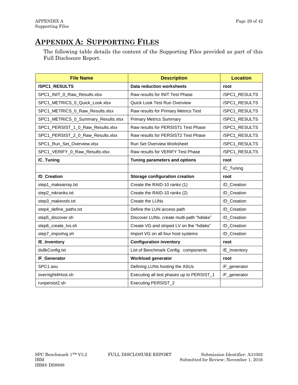# <span id="page-28-0"></span>**APPENDIX A: SUPPORTING FILES**

The following table details the content of the Supporting Files provided as part of this Full Disclosure Report.

| <b>File Name</b>                    | <b>Description</b>                        | <b>Location</b> |
|-------------------------------------|-------------------------------------------|-----------------|
| /SPC1_RESULTS                       | <b>Data reduction worksheets</b>          | root            |
| SPC1_INIT_0_Raw_Results.xlsx        | Raw results for INIT Test Phase           | /SPC1_RESULTS   |
| SPC1_METRICS_0_Quick_Look.xlsx      | <b>Quick Look Test Run Overview</b>       | /SPC1_RESULTS   |
| SPC1_METRICS_0_Raw_Results.xlsx     | Raw results for Primary Metrics Test      | /SPC1_RESULTS   |
| SPC1_METRICS_0_Summary_Results.xlsx | <b>Primary Metrics Summary</b>            | /SPC1_RESULTS   |
| SPC1_PERSIST_1_0_Raw_Results.xlsx   | Raw results for PERSIST1 Test Phase       | /SPC1_RESULTS   |
| SPC1_PERSIST_2_0_Raw_Results.xlsx   | Raw results for PERSIST2 Test Phase       | /SPC1_RESULTS   |
| SPC1_Run_Set_Overview.xlsx          | Run Set Overview Worksheet                | /SPC1_RESULTS   |
| SPC1_VERIFY_0_Raw_Results.xlsx      | Raw results for VERIFY Test Phase         | /SPC1_RESULTS   |
| /C_Tuning                           | Tuning parameters and options             | root            |
|                                     |                                           | /C_Tuning       |
| /D_Creation                         | <b>Storage configuration creation</b>     | root            |
| step1_makearray.txt                 | Create the RAID-10 ranks (1)              | /D_Creation     |
| step2_mkranks.txt                   | Create the RAID-10 ranks (2)              | /D_Creation     |
| step3_makevols.txt                  | Create the LUNs                           | /D_Creation     |
| step4_define_paths.txt              | Define the LUN access path                | /D_Creation     |
| step5_discover.sh                   | Discover LUNs, create multi-path "hdisks" | /D_Creation     |
| step6_create_lvs.sh                 | Create VG and striped LV on the "hdisks"  | /D_Creation     |
| step7_importvg.sh                   | Import VG on all four host systems        | /D_Creation     |
| /E_Inventory                        | <b>Configuration inventory</b>            | root            |
| ds8kConfig.txt                      | List of Benchmark Config. components      | /E_Inventory    |
| /F_Generator                        | <b>Workload generator</b>                 | root            |
| SPC1.asu                            | Defining LUNs hosting the ASUs            | /F_generator    |
| overnight4Host.sh                   | Executing all test phases up to PERSIST_1 | /F_generator    |
| runpersist2.sh                      | Executing PERSIST_2                       |                 |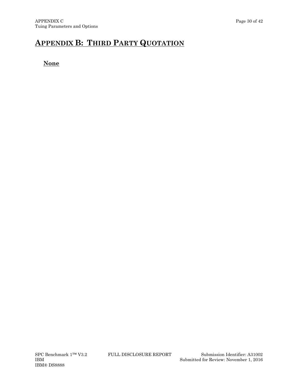# <span id="page-29-0"></span>**APPENDIX B: THIRD PARTY QUOTATION**

### **None**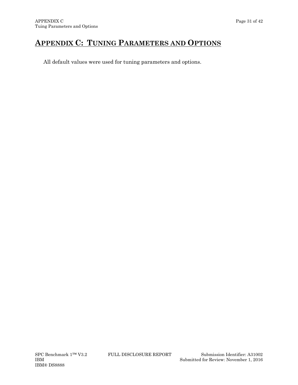# <span id="page-30-0"></span>**APPENDIX C: TUNING PARAMETERS AND OPTIONS**

All default values were used for tuning parameters and options.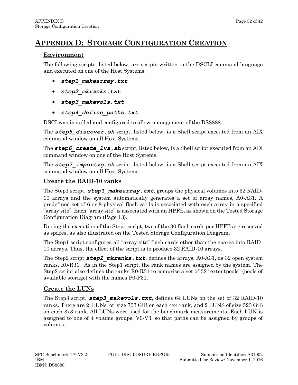# <span id="page-31-0"></span>**APPENDIX D: STORAGE CONFIGURATION CREATION**

#### **Environment**

The following scripts, listed below, are scripts written in the DSCLI command language and executed on one of the Host Systems.

- *step1\_makearray.txt*
- *step2\_mkranks.txt*
- *step3\_makevols.txt*
- *step4\_define\_paths.txt*

DSCI was installed and configured to allow management of the DS8888.

The **step5** discover.sh script, listed below, is a Shell script executed from an AIX command window on all Host Systems.

The **step6** create lvs. sh script, listed below, is a Shell script executed from an AIX command window on one of the Host Systems.

The **step7** importvg.sh script, listed below, is a Shell script executed from an AIX command window on all Host Systems.

### **Create the RAID-10 ranks**

The Step1 script, **step1** makearray.txt, groups the physical volumes into 32 RAID-10 arrays and the system automatically generates a set of array names, A0-A31. A predefined set of 6 or 8 physical flash cards is associated with each array in a specified "array site". Each "array site" is associated with an HPFE, as shown on the Tested Storage Configuration Diagram (Page 13).

During the execution of the Step1 script, two of the 30 flash cards per HPFE are reserved as spares, as also illustrated on the Tested Storage Configuration Diagram.

The Step1 script configures all "array site" flash cards other than the spares into RAID-10 arrays. Thus, the effect of the script is to produce 32 RAID-10 arrays.

The Step2 script *step2* mkranks.txt, defines the arrays, A0-A31, as 32 open system ranks, R0-R31. As in the Step1 script, the rank names are assigned by the system. The Step2 script also defines the ranks R0-R31 to comprise a set of 32 "extentpools" (pools of available storage) with the names P0-P31.

### **Create the LUNs**

The Step3 script, *step3\_makevols.txt*, defines 64 LUNs on the set of 32 RAID-10 ranks. There are 2 LUNs of size 703 GiB on each 4x4 rank, and 2 LUNS of size 523 GiB on each 3x3 rank. All LUNs were used for the benchmark measurements. Each LUN is assigned to one of 4 volume groups, V0-V3, so that paths can be assigned by groups of volumes.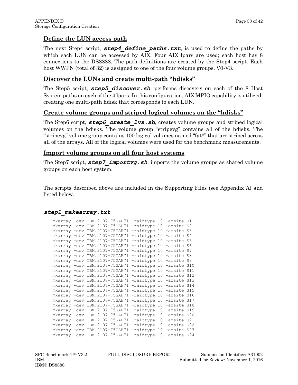#### **Define the LUN access path**

The next Step4 script, *step4\_define\_paths.txt*, is used to define the paths by which each LUN can be accessed by AIX. Four AIX lpars are used; each host has 8 connections to the DS8888. The path definitions are created by the Step4 script. Each host WWPN (total of 32) is assigned to one of the four volume groups, V0-V3.

#### **Discover the LUNs and create multi-path "hdisks"**

The Step5 script, *step5\_discover.sh*, performs discovery on each of the 8 Host System paths on each of the 4 lpars. In this configuration, AIX MPIO capability is utilized, creating one multi-path hdisk that corresponds to each LUN.

#### **Create volume groups and striped logical volumes on the "hdisks"**

The Step6 script, *step6\_create\_lvs.sh*, creates volume groups and striped logical volumes on the hdisks. The volume group "stripevg" contains all of the hdisks. The "stripevg" volume group contains 100 logical volumes named "fat\*" that are striped across all of the arrays. All of the logical volumes were used for the benchmark measurements.

#### **Import volume groups on all four host systems**

The Step7 script, *step7\_importvg.sh*, imports the volume groups as shared volume groups on each host system.

The scripts described above are included in the Supporting Files (see Appendix A) and listed below.

```
step1_makearray.txt
```

|  | mkarray -dev IBM.2107-75GAH71 | -raidtype 10 -arsite S1  |  |  |
|--|-------------------------------|--------------------------|--|--|
|  | mkarray -dev IBM.2107-75GAH71 | -raidtype 10 -arsite S2  |  |  |
|  | mkarray -dev IBM.2107-75GAH71 | -raidtype 10 -arsite S3  |  |  |
|  | mkarray -dev IBM.2107-75GAH71 | -raidtype 10 -arsite S4  |  |  |
|  | mkarray -dev IBM.2107-75GAH71 | -raidtype 10 -arsite S5  |  |  |
|  | mkarray -dev IBM.2107-75GAH71 | -raidtype 10 -arsite S6  |  |  |
|  | mkarray -dev IBM.2107-75GAH71 | -raidtype 10 -arsite S7  |  |  |
|  | mkarray -dev IBM.2107-75GAH71 | -raidtype 10 -arsite S8  |  |  |
|  | mkarray -dev IBM.2107-75GAH71 | -raidtype 10 -arsite S9  |  |  |
|  | mkarray -dev IBM.2107-75GAH71 | -raidtype 10 -arsite S10 |  |  |
|  | mkarray -dev IBM.2107-75GAH71 | -raidtype 10 -arsite S11 |  |  |
|  | mkarray -dev IBM.2107-75GAH71 | -raidtype 10 -arsite S12 |  |  |
|  | mkarray -dev IBM.2107-75GAH71 | -raidtype 10 -arsite S13 |  |  |
|  | mkarray -dev IBM.2107-75GAH71 | -raidtype 10 -arsite S14 |  |  |
|  | mkarray -dev IBM.2107-75GAH71 | -raidtype 10 -arsite S15 |  |  |
|  | mkarray -dev IBM.2107-75GAH71 | -raidtype 10 -arsite S16 |  |  |
|  | mkarray -dev IBM.2107-75GAH71 | -raidtype 10 -arsite S17 |  |  |
|  | mkarray -dev IBM.2107-75GAH71 | -raidtype 10 -arsite S18 |  |  |
|  | mkarray -dev IBM.2107-75GAH71 | -raidtype 10 -arsite S19 |  |  |
|  | mkarray -dev IBM.2107-75GAH71 | -raidtype 10 -arsite S20 |  |  |
|  | mkarray -dev IBM.2107-75GAH71 | -raidtype 10 -arsite S21 |  |  |
|  | mkarray -dev IBM.2107-75GAH71 | -raidtype 10 -arsite S22 |  |  |
|  | mkarray -dev IBM.2107-75GAH71 | -raidtype 10 -arsite S23 |  |  |
|  | mkarray -dev IBM.2107-75GAH71 | -raidtype 10 -arsite S24 |  |  |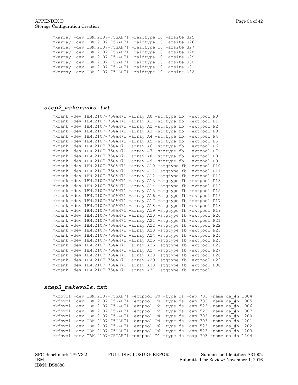|  | mkarray -dev IBM.2107-75GAH71 -raidtype 10 -arsite S25 |  |  |
|--|--------------------------------------------------------|--|--|
|  | mkarray -dev IBM.2107-75GAH71 -raidtype 10 -arsite S26 |  |  |
|  | mkarray -dev IBM.2107-75GAH71 -raidtype 10 -arsite S27 |  |  |
|  | mkarray -dev IBM.2107-75GAH71 -raidtype 10 -arsite S28 |  |  |
|  | mkarray -dev IBM.2107-75GAH71 -raidtype 10 -arsite S29 |  |  |
|  | mkarray -dev IBM.2107-75GAH71 -raidtype 10 -arsite S30 |  |  |
|  | mkarray -dev IBM.2107-75GAH71 -raidtype 10 -arsite S31 |  |  |
|  | mkarray -dev IBM.2107-75GAH71 -raidtype 10 -arsite S32 |  |  |

#### *step2\_makeranks.txt*

|  | mkrank -dev IBM.2107-75GAH71 -array A0 -stgtype fb               |  |                       | -extpool PO                         |  |
|--|------------------------------------------------------------------|--|-----------------------|-------------------------------------|--|
|  | mkrank -dev IBM.2107-75GAH71 -array A1 -stgtype fb               |  |                       | -extpool P1                         |  |
|  | mkrank -dev IBM.2107-75GAH71 -array A2 -stgtype fb               |  |                       | -extpool P2                         |  |
|  | mkrank -dev IBM.2107-75GAH71 -array A3 -stgtype fb               |  |                       | -extpool P3                         |  |
|  | mkrank -dev IBM.2107-75GAH71                                     |  | -array A4 -stgtype fb | -extpool P4                         |  |
|  | mkrank -dev IBM.2107-75GAH71 -array A5 -stgtype fb               |  |                       | -extpool P5                         |  |
|  | mkrank -dev IBM.2107-75GAH71                                     |  | -array A6 -stgtype fb | -extpool P6                         |  |
|  | mkrank -dev IBM.2107-75GAH71 -array A7 -stgtype fb               |  |                       | -extpool P7                         |  |
|  | mkrank -dev IBM.2107-75GAH71 -array A8 -stgtype fb               |  |                       | -extpool P8                         |  |
|  | mkrank -dev IBM.2107-75GAH71 -array A9 -stgtype fb               |  |                       | -extpool P9                         |  |
|  | mkrank -dev IBM.2107-75GAH71                                     |  |                       | -array A10 -stgtype fb -extpool P10 |  |
|  | mkrank -dev IBM.2107-75GAH71 -array A11 -stgtype fb -extpool P11 |  |                       |                                     |  |
|  | mkrank -dev IBM.2107-75GAH71 -array A12 -stgtype fb -extpool P12 |  |                       |                                     |  |
|  | mkrank -dev IBM.2107-75GAH71 -array A13 -stgtype fb -extpool P13 |  |                       |                                     |  |
|  | mkrank -dev IBM.2107-75GAH71 -array A14 -stgtype fb -extpool P14 |  |                       |                                     |  |
|  | mkrank -dev IBM.2107-75GAH71                                     |  |                       | -array A15 -stgtype fb -extpool P15 |  |
|  | mkrank -dev IBM.2107-75GAH71                                     |  |                       | -array A16 -stgtype fb -extpool P16 |  |
|  | mkrank -dev IBM.2107-75GAH71 -array A17 -stgtype fb -extpool P17 |  |                       |                                     |  |
|  | mkrank -dev IBM.2107-75GAH71 -array A18 -stgtype fb -extpool P18 |  |                       |                                     |  |
|  | mkrank -dev IBM.2107-75GAH71 -array A19 -stgtype fb -extpool P19 |  |                       |                                     |  |
|  | mkrank -dev IBM.2107-75GAH71 -array A20 -stgtype fb -extpool P20 |  |                       |                                     |  |
|  | mkrank -dev IBM.2107-75GAH71                                     |  |                       | -array A21 -stgtype fb -extpool P21 |  |
|  | mkrank -dev IBM.2107-75GAH71                                     |  |                       | -array A22 -stgtype fb -extpool P22 |  |
|  | mkrank -dev IBM.2107-75GAH71 -array A23 -stgtype fb -extpool P23 |  |                       |                                     |  |
|  | mkrank -dev IBM.2107-75GAH71                                     |  |                       | -array A24 -stgtype fb -extpool P24 |  |
|  | mkrank -dev IBM.2107-75GAH71                                     |  |                       | -array A25 -stgtype fb -extpool P25 |  |
|  | mkrank -dev IBM.2107-75GAH71 -array A26 -stgtype fb -extpool P26 |  |                       |                                     |  |
|  | mkrank -dev IBM.2107-75GAH71                                     |  |                       | -array A27 -stgtype fb -extpool P27 |  |
|  | mkrank -dev IBM.2107-75GAH71                                     |  |                       | -array A28 -stgtype fb -extpool P28 |  |
|  | mkrank -dev IBM.2107-75GAH71 -array A29 -stgtype fb -extpool P29 |  |                       |                                     |  |
|  | mkrank -dev IBM.2107-75GAH71 -array A30 -stgtype fb -extpool P30 |  |                       |                                     |  |
|  | mkrank -dev IBM.2107-75GAH71 -array A31 -stgtype fb -extpool     |  |                       |                                     |  |

#### *step3\_makevols.txt*

mkfbvol -dev IBM.2107-75GAH71 -extpool P0 -type ds -cap 703 -name da\_#h 1004 mkfbvol -dev IBM.2107-75GAH71 -extpool P0 -type ds -cap 703 -name da\_#h 1005 mkfbvol -dev IBM.2107-75GAH71 -extpool P2 -type ds -cap 523 -name da\_#h 1006 mkfbvol -dev IBM.2107-75GAH71 -extpool P2 -type ds -cap 523 -name da\_#h 1007 mkfbvol -dev IBM.2107-75GAH71 -extpool P4 -type ds -cap 703 -name da\_#h 1200 mkfbvol -dev IBM.2107-75GAH71 -extpool P4 -type ds -cap 703 -name da\_#h 1201 mkfbvol -dev IBM.2107-75GAH71 -extpool P6 -type ds -cap 523 -name da\_#h 1202 mkfbvol -dev IBM.2107-75GAH71 -extpool P6 -type ds -cap 523 -name da\_#h 1203 mkfbvol -dev IBM.2107-75GAH71 -extpool P1 -type ds -cap 703 -name da\_#h 1104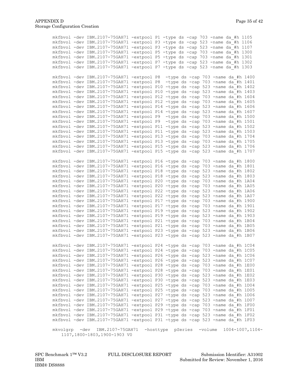|               | mkfbvol -dev IBM.2107-75GAH71 -extpool P1 -type ds -cap 703 -name da #h 1105  |  |                   |  |         |                                    |                       |  |
|---------------|-------------------------------------------------------------------------------|--|-------------------|--|---------|------------------------------------|-----------------------|--|
|               | mkfbvol -dev IBM.2107-75GAH71 -extpool P3 -type ds -cap 523 -name da #h 1106  |  |                   |  |         |                                    |                       |  |
|               | mkfbvol -dev IBM.2107-75GAH71 -extpool P3 -type ds -cap 523 -name da_#h 1107  |  |                   |  |         |                                    |                       |  |
|               | mkfbvol -dev IBM.2107-75GAH71 -extpool P5 -type ds -cap 703 -name da #h 1300  |  |                   |  |         |                                    |                       |  |
|               | mkfbvol -dev IBM.2107-75GAH71 -extpool P5 -type ds -cap 703 -name da #h 1301  |  |                   |  |         |                                    |                       |  |
|               | mkfbvol -dev IBM.2107-75GAH71 -extpool P7 -type ds -cap 523 -name da #h 1302  |  |                   |  |         |                                    |                       |  |
|               | mkfbvol -dev IBM.2107-75GAH71 -extpool P7 -type ds -cap 523 -name da #h 1303  |  |                   |  |         |                                    |                       |  |
|               | mkfbvol -dev IBM.2107-75GAH71 -extpool P8                                     |  |                   |  |         | -type ds -cap 703 -name da #h 1400 |                       |  |
|               | mkfbvol -dev IBM.2107-75GAH71 -extpool P8 -type ds -cap 703 -name da #h 1401  |  |                   |  |         |                                    |                       |  |
|               | mkfbvol -dev IBM.2107-75GAH71 -extpool P10 -type ds -cap 523 -name da #h 1402 |  |                   |  |         |                                    |                       |  |
|               | mkfbvol -dev IBM.2107-75GAH71 -extpool P10 -type ds -cap 523 -name da #h 1403 |  |                   |  |         |                                    |                       |  |
|               | mkfbvol -dev IBM.2107-75GAH71 -extpool P12 -type ds -cap 703 -name da_#h 1604 |  |                   |  |         |                                    |                       |  |
|               | mkfbvol -dev IBM.2107-75GAH71 -extpool P12 -type ds -cap 703 -name da #h 1605 |  |                   |  |         |                                    |                       |  |
|               | mkfbvol -dev IBM.2107-75GAH71 -extpool P14 -type ds -cap 523 -name da #h 1606 |  |                   |  |         |                                    |                       |  |
|               | mkfbvol -dev IBM.2107-75GAH71 -extpool P14 -type ds -cap 523 -name da #h 1607 |  |                   |  |         |                                    |                       |  |
|               | mkfbvol -dev IBM.2107-75GAH71 -extpool P9 -type ds -cap 703 -name da #h 1500  |  |                   |  |         |                                    |                       |  |
|               | mkfbvol -dev IBM.2107-75GAH71 -extpool P9 -type ds -cap 703 -name da #h 1501  |  |                   |  |         |                                    |                       |  |
|               | mkfbvol -dev IBM.2107-75GAH71 -extpool P11 -type ds -cap 523 -name da #h 1502 |  |                   |  |         |                                    |                       |  |
|               | mkfbvol -dev IBM.2107-75GAH71 -extpool P11 -type ds -cap 523 -name da #h 1503 |  |                   |  |         |                                    |                       |  |
|               | mkfbvol -dev IBM.2107-75GAH71 -extpool P13 -type ds -cap 703 -name da #h 1704 |  |                   |  |         |                                    |                       |  |
|               | mkfbvol -dev IBM.2107-75GAH71 -extpool P13 -type ds -cap 703 -name da #h 1705 |  |                   |  |         |                                    |                       |  |
|               | mkfbvol -dev IBM.2107-75GAH71 -extpool P15 -type ds -cap 523 -name da #h 1706 |  |                   |  |         |                                    |                       |  |
|               | mkfbvol -dev IBM.2107-75GAH71 -extpool P15 -type ds -cap 523 -name da #h 1707 |  |                   |  |         |                                    |                       |  |
|               |                                                                               |  |                   |  |         |                                    |                       |  |
|               | mkfbvol -dev IBM.2107-75GAH71 -extpool P16 -type ds -cap 703 -name da #h 1800 |  |                   |  |         |                                    |                       |  |
|               | mkfbvol -dev IBM.2107-75GAH71 -extpool P16 -type ds -cap 703 -name da #h 1801 |  |                   |  |         |                                    |                       |  |
|               | mkfbvol -dev IBM.2107-75GAH71 -extpool P18 -type ds -cap 523 -name da #h 1802 |  |                   |  |         |                                    |                       |  |
|               | mkfbvol -dev IBM.2107-75GAH71 -extpool P18 -type ds -cap 523 -name da_#h 1803 |  |                   |  |         |                                    |                       |  |
|               | mkfbvol -dev IBM.2107-75GAH71 -extpool P20 -type ds -cap 703 -name da #h 1A04 |  |                   |  |         |                                    |                       |  |
|               | mkfbvol -dev IBM.2107-75GAH71 -extpool P20 -type ds -cap 703 -name da #h 1A05 |  |                   |  |         |                                    |                       |  |
|               | mkfbvol -dev IBM.2107-75GAH71 -extpool P22 -type ds -cap 523 -name da #h 1A06 |  |                   |  |         |                                    |                       |  |
|               | mkfbvol -dev IBM.2107-75GAH71 -extpool P22 -type ds -cap 523 -name da_#h 1A07 |  |                   |  |         |                                    |                       |  |
|               | mkfbvol -dev IBM.2107-75GAH71 -extpool P17 -type ds -cap 703 -name da #h 1900 |  |                   |  |         |                                    |                       |  |
|               | mkfbvol -dev IBM.2107-75GAH71 -extpool P17 -type ds -cap 703 -name da #h 1901 |  |                   |  |         |                                    |                       |  |
|               | mkfbvol -dev IBM.2107-75GAH71 -extpool P19 -type ds -cap 523 -name da #h 1902 |  |                   |  |         |                                    |                       |  |
|               | mkfbvol -dev IBM.2107-75GAH71 -extpool P19 -type ds -cap 523 -name da #h 1903 |  |                   |  |         |                                    |                       |  |
|               | mkfbvol -dev IBM.2107-75GAH71 -extpool P21 -type ds -cap 703 -name da #h 1B04 |  |                   |  |         |                                    |                       |  |
|               | mkfbvol -dev IBM.2107-75GAH71 -extpool P21 -type ds -cap 703 -name da #h 1B05 |  |                   |  |         |                                    |                       |  |
|               | mkfbvol -dev IBM.2107-75GAH71 -extpool P23 -type ds -cap 523 -name da #h 1B06 |  |                   |  |         |                                    |                       |  |
|               | mkfbvol -dev IBM.2107-75GAH71 -extpool P23 -type ds -cap 523 -name da #h 1B07 |  |                   |  |         |                                    |                       |  |
|               | mkfbvol -dev IBM.2107-75GAH71 -extpool P24 -type ds -cap 703 -name da #h 1C04 |  |                   |  |         |                                    |                       |  |
|               | mkfbvol -dev IBM.2107-75GAH71 -extpool P24 -type ds -cap 703 -name da_#h 1C05 |  |                   |  |         |                                    |                       |  |
|               | mkfbvol -dev IBM.2107-75GAH71 -extpool P26 -type ds -cap 523 -name da_#h 1C06 |  |                   |  |         |                                    |                       |  |
|               | mkfbvol -dev IBM.2107-75GAH71 -extpool P26 -type ds -cap 523 -name da_#h 1C07 |  |                   |  |         |                                    |                       |  |
|               | mkfbvol -dev IBM.2107-75GAH71 -extpool P28 -type ds -cap 703 -name da #h 1E00 |  |                   |  |         |                                    |                       |  |
|               | mkfbvol -dev IBM.2107-75GAH71 -extpool P28 -type ds -cap 703 -name da #h 1E01 |  |                   |  |         |                                    |                       |  |
|               | mkfbvol -dev IBM.2107-75GAH71 -extpool P30 -type ds -cap 523 -name da #h 1E02 |  |                   |  |         |                                    |                       |  |
|               | mkfbvol -dev IBM.2107-75GAH71 -extpool P30 -type ds -cap 523 -name da #h 1E03 |  |                   |  |         |                                    |                       |  |
|               | mkfbvol -dev IBM.2107-75GAH71 -extpool P25 -type ds -cap 703 -name da #h 1D04 |  |                   |  |         |                                    |                       |  |
|               | mkfbvol -dev IBM.2107-75GAH71 -extpool P25 -type ds -cap 703 -name da #h 1D05 |  |                   |  |         |                                    |                       |  |
|               | mkfbvol -dev IBM.2107-75GAH71 -extpool P27 -type ds -cap 523 -name da #h 1D06 |  |                   |  |         |                                    |                       |  |
|               | mkfbvol -dev IBM.2107-75GAH71 -extpool P27 -type ds -cap 523 -name da #h 1D07 |  |                   |  |         |                                    |                       |  |
|               | mkfbvol -dev IBM.2107-75GAH71 -extpool P29 -type ds -cap 703 -name da #h 1F00 |  |                   |  |         |                                    |                       |  |
|               | mkfbvol -dev IBM.2107-75GAH71 -extpool P29 -type ds -cap 703 -name da #h 1F01 |  |                   |  |         |                                    |                       |  |
|               | mkfbvol -dev IBM.2107-75GAH71 -extpool P31 -type ds -cap 523 -name da #h 1F02 |  |                   |  |         |                                    |                       |  |
|               | mkfbvol -dev IBM.2107-75GAH71 -extpool P31 -type ds -cap 523 -name da #h 1F03 |  |                   |  |         |                                    |                       |  |
| mkvolgrp -dev | IBM.2107-75GAH71<br>1107,1800-1803,1900-1903 VO                               |  | -hosttype pSeries |  | -volume |                                    | $1004 - 1007, 1104 -$ |  |

IBM® DS8888

SPC Benchmark 1™ V3.2 FULL DISCLOSURE REPORT Submission Identifier: A31002 IBM Submitted for Review: November 1, 2016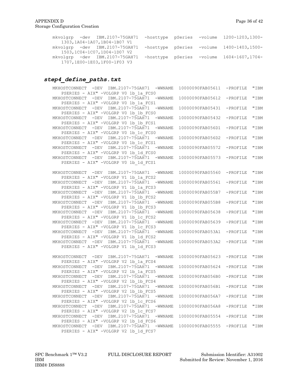| mkvolgrp -dev IBM.2107-75GAH71 -hosttype pSeries -volume 1200-1203,1300- |  |                                                     |
|--------------------------------------------------------------------------|--|-----------------------------------------------------|
| 1303, 1A04-1A07, 1B04-1B07 V1                                            |  |                                                     |
| mkvolgrp -dev IBM.2107-75GAH71                                           |  | -hosttype pSeries -volume 1400-1403,1500-           |
| 1503,1C04-1C07,1D04-1D07 V2                                              |  |                                                     |
| mkvolgrp -dev IBM.2107-75GAH71                                           |  | $-$ hosttype pSeries $-v$ olume $1604-1607$ , 1704- |
| 1707,1E00-1E03,1F00-1F03 V3                                              |  |                                                     |
|                                                                          |  |                                                     |

#### *step4\_define\_paths.txt*

| MKHOSTCONNECT - DEV IBM.2107-75GAH71<br>$-WWNAME$ | 10000090FAB05611 | -PROFILE | "IBM |
|---------------------------------------------------|------------------|----------|------|
| PSERIES - AIX" -VOLGRP V0 1b 1a FCS0              |                  |          |      |
| MKHOSTCONNECT - DEV IBM.2107-75GAH71<br>$-WWNAME$ | 10000090FAB05612 | -PROFILE | "IBM |
| PSERIES - AIX" -VOLGRP V0 1b 1a FCS1              |                  |          |      |
| MKHOSTCONNECT - DEV IBM.2107-75GAH71<br>$-WWNAME$ | 10000090FAB05431 | -PROFILE | "IBM |
| PSERIES - AIX" -VOLGRP V0 1b 1b FCS0              |                  |          |      |
| MKHOSTCONNECT - DEV IBM.2107-75GAH71<br>$-WWNAME$ | 10000090FAB05432 | -PROFILE | "IBM |
| PSERIES - AIX" -VOLGRP V0 1b 1b FCS1              |                  |          |      |
| MKHOSTCONNECT - DEV IBM.2107-75GAH71<br>$-WWNAME$ | 10000090FAB056D1 | -PROFILE | "IBM |
| PSERIES - AIX" -VOLGRP V0 1b 1c FCS0              |                  |          |      |
| MKHOSTCONNECT - DEV IBM.2107-75GAH71<br>$-WWNAME$ | 10000090FAB056D2 | -PROFILE | "IBM |
| PSERIES - AIX" -VOLGRP V0 1b 1c FCS1              |                  |          |      |
| MKHOSTCONNECT - DEV IBM.2107-75GAH71<br>$-WWNAME$ | 10000090FAB05572 | -PROFILE | "IBM |
| PSERIES - AIX" -VOLGRP V0 1b 1d FCS0              |                  |          |      |
| MKHOSTCONNECT - DEV IBM.2107-75GAH71<br>$-WWNAME$ | 10000090FAB05573 | -PROFILE | "IBM |
| PSERIES - AIX" -VOLGRP V0 1b 1d FCS1              |                  |          |      |
|                                                   |                  |          |      |
| MKHOSTCONNECT - DEV IBM.2107-75GAH71<br>$-WWNAME$ | 10000090FAB05560 | -PROFILE | "IBM |
| PSERIES - AIX" -VOLGRP V1 1b 1a FCS2              |                  |          |      |
| MKHOSTCONNECT - DEV IBM.2107-75GAH71<br>$-WWNAME$ | 10000090FAB05561 | -PROFILE | "IBM |
| PSERIES - AIX" -VOLGRP V1 1b 1a FCS3              |                  |          |      |
| $-WWNAME$                                         | 10000090FAB055B7 | -PROFILE | "IBM |
| MKHOSTCONNECT - DEV IBM.2107-75GAH71              |                  |          |      |
| PSERIES - AIX" -VOLGRP V1 1b 1b FCS2              |                  |          |      |
| MKHOSTCONNECT - DEV IBM.2107-75GAH71<br>$-WWNAME$ | 10000090FAB055B8 | -PROFILE | "IBM |
| PSERIES - AIX" -VOLGRP V1 1b 1b FCS3              |                  |          |      |
| MKHOSTCONNECT - DEV IBM.2107-75GAH71<br>$-WWNAME$ | 10000090FAB05638 | -PROFILE | "IBM |
| PSERIES - AIX" -VOLGRP V1 1b 1c FCS2              |                  |          |      |
| MKHOSTCONNECT - DEV IBM.2107-75GAH71<br>$-WWNAME$ | 10000090FAB05639 | -PROFILE | "IBM |
| PSERIES - AIX" -VOLGRP V1 1b 1c FCS3              |                  |          |      |
| MKHOSTCONNECT - DEV IBM.2107-75GAH71<br>$-WWNAME$ | 10000090FAB053A1 | -PROFILE | "IBM |
| PSERIES - AIX" -VOLGRP V1 1b_1d_FCS2              |                  |          |      |
| MKHOSTCONNECT - DEV IBM.2107-75GAH71<br>$-WWNAME$ | 10000090FAB053A2 | -PROFILE | "IBM |
| PSERIES - AIX" -VOLGRP V1 1b_1d_FCS3              |                  |          |      |
|                                                   |                  |          |      |
| MKHOSTCONNECT - DEV IBM.2107-75GAH71<br>$-WWNAME$ | 10000090FAB05623 | -PROFILE | "IBM |
| PSERIES - AIX" -VOLGRP V2 1b 1a FCS4              |                  |          |      |
| MKHOSTCONNECT - DEV IBM.2107-75GAH71<br>$-WWNAME$ | 10000090FAB05624 | -PROFILE | "IBM |
| PSERIES - AIX" -VOLGRP V2 1b 1a FCS5              |                  |          |      |
| MKHOSTCONNECT - DEV IBM.2107-75GAH71<br>$-WWNAME$ | 10000090FAB056B0 | -PROFILE | "IBM |
| PSERIES - AIX" -VOLGRP V2 1b 1b FCS4              |                  |          |      |
| MKHOSTCONNECT - DEV IBM.2107-75GAH71<br>$-WWNAME$ | 10000090FAB056B1 | -PROFILE | "IBM |
| PSERIES - AIX" -VOLGRP V2 1b 1b FCS5              |                  |          |      |
| MKHOSTCONNECT - DEV IBM.2107-75GAH71<br>$-WWNAME$ | 10000090FAB056A7 | -PROFILE | "IBM |
| PSERIES - AIX" -VOLGRP V2 1b 1c FCS6              |                  |          |      |
| MKHOSTCONNECT - DEV IBM.2107-75GAH71<br>$-WWNAME$ | 10000090FAB056A8 | -PROFILE | "IBM |
| PSERIES - AIX" -VOLGRP V2 1b 1c FCS7              |                  |          |      |
| MKHOSTCONNECT - DEV IBM.2107-75GAH71<br>$-WWNAME$ | 10000090FAB05554 | -PROFILE | "IBM |
| PSERIES - AIX" -VOLGRP V2 1b 1d FCS6              |                  |          |      |
| MKHOSTCONNECT - DEV IBM.2107-75GAH71<br>$-WWNAME$ | 10000090FAB05555 | -PROFILE | "IBM |
| PSERIES - AIX" -VOLGRP V2 1b 1d FCS7              |                  |          |      |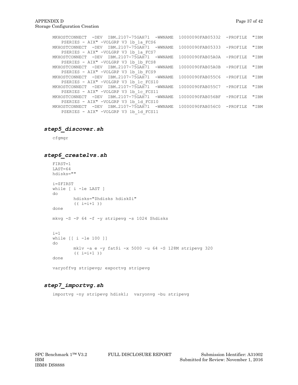| TBM.2107-75GAH71 -WWNAME<br>– DEV<br>MKHOSTCONNECT         |           | 10000090FAB05332             | $-$ PROFILE | "IBM |
|------------------------------------------------------------|-----------|------------------------------|-------------|------|
| PSERIES - AIX" -VOLGRP V3 1b 1a FCS6                       |           |                              |             |      |
| -DEV IBM.2107-75GAH71<br>MKHOSTCONNECT                     | -WWNAME   | 10000090FAB05333             | $-PROFTLE$  | "IBM |
| PSERIES - AIX" -VOLGRP V3 1b 1a FCS7                       |           |                              |             |      |
| MKHOSTCONNECT -DEV<br>IBM.2107-75GAH71                     | -WWNAME   | $10000090FAB05A0A - PROFILE$ |             | "IBM |
| PSERIES - AIX" -VOLGRP V3 1b 1b FCS8                       |           |                              |             |      |
| IBM.2107-75GAH71<br>MKHOSTCONNECT -DEV                     | -WWNAME   | 10000090FAB05A0B             | $-$ PROFILE | "IBM |
| PSERIES - AIX" -VOLGRP V3 1b 1b FCS9                       |           |                              |             |      |
| MKHOSTCONNECT - DEV IBM.2107-75GAH71                       | – WWNAME. | 10000090FAB055C6 -PROFILE    |             | "IBM |
| PSERIES - AIX" -VOLGRP V3 1b 1c FCS10                      |           |                              |             |      |
| MKHOSTCONNECT - DEV IBM.2107-75GAH71 - WWNAME              |           | 10000090FAB055C7             | -PROFILE    | "IBM |
| PSERIES - AIX" -VOLGRP V3 1b 1c FCS11                      |           |                              |             |      |
| IBM.2107-75GAH71<br>$-\text{DEV}$<br>MKHOSTCONNECT         | -WWNAME   | 10000090FAB056BF             | $-$ PROFILE | "IBM |
| PSERIES - AIX" -VOLGRP V3 1b 1d FCS10                      |           |                              |             |      |
| IBM.2107-75GAH71 -WWNAME<br>$-\text{DEV}$<br>MKHOSTCONNECT |           | 10000090FAB056C0             | $-$ PROFILE | "IBM |
| PSERIES - AIX" -VOLGRP V3 1b 1d FCS11                      |           |                              |             |      |

#### *step5\_discover.sh*

cfgmgr

#### *step6\_createlvs.sh*

```
FIRST=1
LAST=64
hdisks=""
i=$FIRST
while [ i -le LAST ]
do
         hdisks="$hdisks hdisk$i"
         (( i=i+1 ))
done
mkvg -S -P 64 -f -y stripevg -s 1024 $hdisks
i=1while [[ i -le 100 ]]
do
         mklv -a e -y fat$i -x 5000 -u 64 -S 128M stripevg 320
         (( i=i+1 ))
done
varyoffvg stripevg; exportvg stripevg
```
#### *step7\_importvg.sh*

importvg -ny stripevg hdisk1; varyonvg -bu stripevg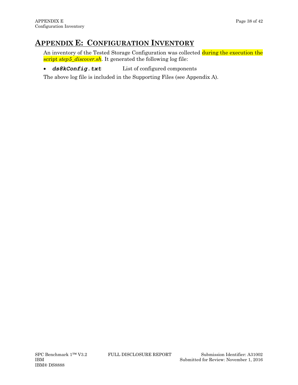# <span id="page-37-0"></span>**APPENDIX E: CONFIGURATION INVENTORY**

An inventory of the Tested Storage Configuration was collected during the execution the script *step5\_discover.sh.* It generated the following log file:

• *ds8kConfig.txt* List of configured components

The above log file is included in the Supporting Files (see Appendix A).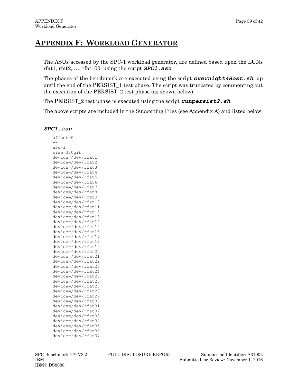# <span id="page-38-0"></span>**APPENDIX F: WORKLOAD GENERATOR**

The ASUs accessed by the SPC-1 workload generator, are defined based upon the LUNs rfat1, rfat2, …, rfat100, using the script *SPC1.asu*.

The phases of the benchmark are executed using the script *overnight4Host.sh*, up until the end of the PERSIST\_1 test phase. The script was truncated by commenting out the execution of the PERSIST\_2 test phase (as shown below).

The PERSIST\_2 test phase is executed using the script *runpersist2.sh*.

The above scripts are included in the Supporting Files (see Appendix A) and listed below.

#### *SPC1.asu*

| offset=0                                 |
|------------------------------------------|
|                                          |
| asu=1                                    |
| size=320gib                              |
| device=/dev/rfat1                        |
| device=/dev/rfat2                        |
| device=/dev/rfat3                        |
| device=/dev/rfat4                        |
| device=/dev/rfat5                        |
| device=/dev/rfat6                        |
| device=/dev/rfat7                        |
| device=/dev/rfat8                        |
| device=/dev/rfat9                        |
| device=/dev/rfat10                       |
| device=/dev/rfat11                       |
| device=/dev/rfat12                       |
| device=/dev/rfat13                       |
| device=/dev/rfat14                       |
| device=/dev/rfat15                       |
| device=/dev/rfat16                       |
| device=/dev/rfat17                       |
| device=/dev/rfat18                       |
| device=/dev/rfat19                       |
| device=/dev/rfat20                       |
| device=/dev/rfat21                       |
| device=/dev/rfat22                       |
| device=/dev/rfat23                       |
| device=/dev/rfat24                       |
| device=/dev/rfat25                       |
| device=/dev/rfat26                       |
| device=/dev/rfat27                       |
| device=/dev/rfat28                       |
| device=/dev/rfat29                       |
| device=/dev/rfat30                       |
| device=/dev/rfat31<br>device=/dev/rfat32 |
|                                          |
| device=/dev/rfat33                       |
| device=/dev/rfat34                       |
| device=/dev/rfat35                       |
| device=/dev/rfat36                       |
| device=/dev/rfat37                       |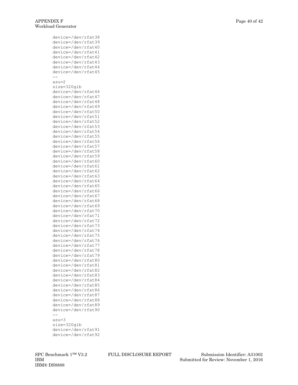device=/dev/rfat38 device=/dev/rfat39 device=/dev/rfat40 device=/dev/rfat41 device=/dev/rfat42 device=/dev/rfat43 device=/dev/rfat44 device=/dev/rfat45 - asu=2 size=320gib device=/dev/rfat46 device=/dev/rfat47 device=/dev/rfat48 device=/dev/rfat49 device=/dev/rfat50 device=/dev/rfat51 device=/dev/rfat52 device=/dev/rfat53 device=/dev/rfat54 device=/dev/rfat55 device=/dev/rfat56 device=/dev/rfat57 device=/dev/rfat58 device=/dev/rfat59 device=/dev/rfat60 device=/dev/rfat61 device=/dev/rfat62 device=/dev/rfat63 device=/dev/rfat64 device=/dev/rfat65 device=/dev/rfat66 device=/dev/rfat67 device=/dev/rfat68 device=/dev/rfat69 device=/dev/rfat70 device=/dev/rfat71 device=/dev/rfat72 device=/dev/rfat73 device=/dev/rfat74 device=/dev/rfat75 device=/dev/rfat76 device=/dev/rfat77 device=/dev/rfat78 device=/dev/rfat79 device=/dev/rfat80 device=/dev/rfat81 device=/dev/rfat82 device=/dev/rfat83 device=/dev/rfat84 device=/dev/rfat85 device=/dev/rfat86 device=/dev/rfat87 device=/dev/rfat88 device=/dev/rfat89 device=/dev/rfat90  $$ asu=3 size=320gib device=/dev/rfat91 device=/dev/rfat92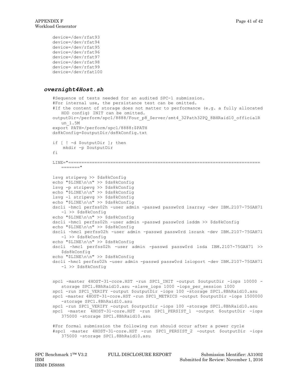```
device=/dev/rfat93
device=/dev/rfat94
device=/dev/rfat95
device=/dev/rfat96
device=/dev/rfat97
device=/dev/rfat98
device=/dev/rfat99
device=/dev/rfat100
```
#### *overnight4Host.sh*

```
#Sequence of tests needed for an audited SPC-1 submission.
#For internal use, the persistance test can be omitted.
#If the content of storage does not matter to performance (e.g. a fully allocated
   HDD config) INIT can be omitted.
outputDir=/perform/spc1/8888/Four_p8_Server/smt4_32Path32PQ_8BHRaid10_officialR
  un_1.5M
export PATH=/perform/spc1/8888:$PATH
ds8kConfig=$outputDir/ds8kConfig.txt
if [ ! -d $outputDir ]; then
    mkdir -p $outputDir
f_iLINE="=========================================================================
   ======="
lsvg stripevg >> $ds8kConfig
echo "$LINE\n\n" >> $ds8kConfig
lsvg -p stripevg >> $ds8kConfig
echo "$LINE\n\n" >> $ds8kConfig
lsvg -l stripevg >> $ds8kConfig
echo "$LINE\n\n" >> $ds8kConfig
dscli -hmc1 perfss02h -user admin -passwd passw0rd lsarray -dev IBM.2107-75GAH71 
   -l >> $ds8kConfig
echo "$LINE\n\n" >> $ds8kConfig
dscli -hmc1 perfss02h -user admin -passwd passw0rd lsddm >> $ds8kConfig
echo "$LINE\n\n" >> $ds8kConfig
dscli -hmc1 perfss02h -user admin -passwd passw0rd lsrank -dev IBM.2107-75GAH71 
   -l >> $ds8kConfig
echo "$LINE\n\n" >> $ds8kConfig
dscli -hmc1 perfss02h -user admin -passwd passw0rd lsda IBM.2107-75GAH71 >> 
   $ds8kConfig
echo "$LINE\n\n" >> $ds8kConfig
dscli -hmc1 perfss02h -user admin -passwd passw0rd lsioport -dev IBM.2107-75GAH71 
   -l >> $ds8kConfig
spc1 -master 4HOST-31-core.HST -run SPC1_INIT -output $outputDir -iops 10000 -
  storage SPC1.8BhRaid10.asu -slave iops 1000 -iops per session 1000
spc1 -run SPC1_VERIFY -output $outputDir -iops 100 -storage SPC1.8BhRaid10.asu
spc1 -master 4HOST-31-core.HST -run SPC1_METRICS -output $outputDir -iops 1500000 
   -storage SPC1.8BhRaid10.asu
spc1 -run SPC1 VERIFY -output $outputDir -iops 100 -storage SPC1.8BhRaid10.asu
spc1 -master 4HOST-31-core.HST -run SPC1_PERSIST_1 -output $outputDir -iops 
   375000 -storage SPC1.8BhRaid10.asu
#For formal submission the following run should occur after a power cycle
#spc1 -master 4HOST-31-core.HST -run SPC1_PERSIST_2 -output $outputDir -iops 
   375000 -storage SPC1.8BhRaid10.asu
```

```
IBM® DS8888
```